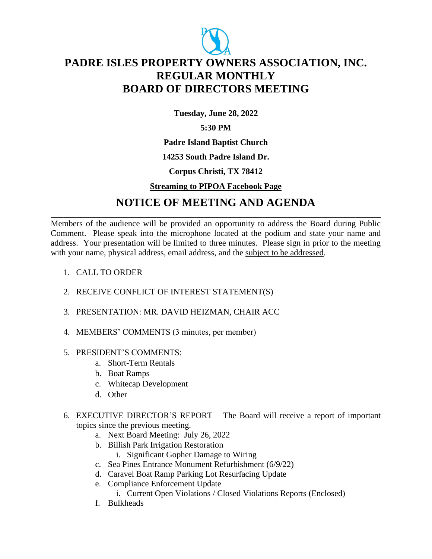

# **PADRE ISLES PROPERTY OWNERS ASSOCIATION, INC. REGULAR MONTHLY BOARD OF DIRECTORS MEETING**

**Tuesday, June 28, 2022**

## **5:30 PM**

**Padre Island Baptist Church**

### **14253 South Padre Island Dr.**

### **Corpus Christi, TX 78412**

### **Streaming to PIPOA Facebook Page**

## **NOTICE OF MEETING AND AGENDA** \_\_\_\_\_\_\_\_\_\_\_\_\_\_\_\_\_\_\_\_\_\_\_\_\_\_\_\_\_\_\_\_\_\_\_\_\_\_\_\_\_\_\_\_\_\_\_\_\_\_\_\_\_\_\_\_\_\_\_\_\_\_\_\_\_\_\_\_\_\_\_\_\_\_\_\_\_\_

Members of the audience will be provided an opportunity to address the Board during Public Comment. Please speak into the microphone located at the podium and state your name and address. Your presentation will be limited to three minutes. Please sign in prior to the meeting with your name, physical address, email address, and the subject to be addressed.

- 1. CALL TO ORDER
- 2. RECEIVE CONFLICT OF INTEREST STATEMENT(S)
- 3. PRESENTATION: MR. DAVID HEIZMAN, CHAIR ACC
- 4. MEMBERS' COMMENTS (3 minutes, per member)
- 5. PRESIDENT'S COMMENTS:
	- a. Short-Term Rentals
	- b. Boat Ramps
	- c. Whitecap Development
	- d. Other
- 6. EXECUTIVE DIRECTOR'S REPORT The Board will receive a report of important topics since the previous meeting.
	- a. Next Board Meeting: July 26, 2022
	- b. Billish Park Irrigation Restoration
		- i. Significant Gopher Damage to Wiring
	- c. Sea Pines Entrance Monument Refurbishment (6/9/22)
	- d. Caravel Boat Ramp Parking Lot Resurfacing Update
	- e. Compliance Enforcement Update
		- i. Current Open Violations / Closed Violations Reports (Enclosed)
	- f. Bulkheads